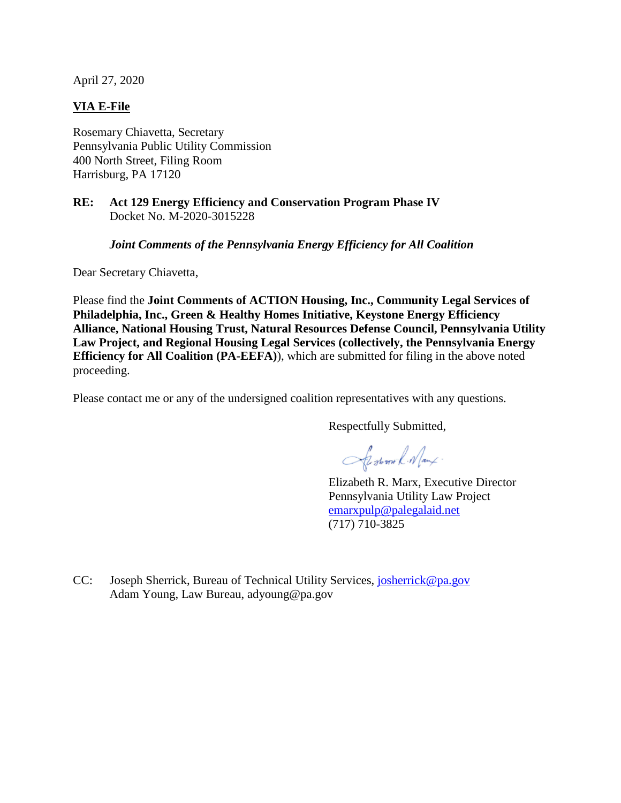April 27, 2020

# **VIA E-File**

Rosemary Chiavetta, Secretary Pennsylvania Public Utility Commission 400 North Street, Filing Room Harrisburg, PA 17120

## **RE: Act 129 Energy Efficiency and Conservation Program Phase IV** Docket No. M-2020-3015228

*Joint Comments of the Pennsylvania Energy Efficiency for All Coalition* 

Dear Secretary Chiavetta,

Please find the **Joint Comments of ACTION Housing, Inc., Community Legal Services of Philadelphia, Inc., Green & Healthy Homes Initiative, Keystone Energy Efficiency Alliance, National Housing Trust, Natural Resources Defense Council, Pennsylvania Utility Law Project, and Regional Housing Legal Services (collectively, the Pennsylvania Energy Efficiency for All Coalition (PA-EEFA)**), which are submitted for filing in the above noted proceeding.

Please contact me or any of the undersigned coalition representatives with any questions.

Respectfully Submitted,

Sisteman R. Namx.

Elizabeth R. Marx, Executive Director Pennsylvania Utility Law Project emarxpulp@palegalaid.net (717) 710-3825

CC: Joseph Sherrick, Bureau of Technical Utility Services, josherrick@pa.gov Adam Young, Law Bureau, adyoung@pa.gov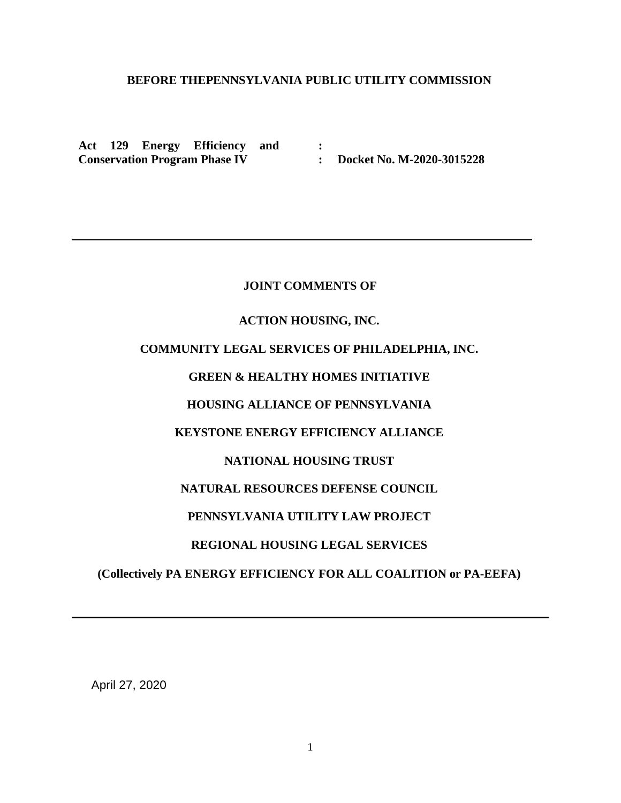# **BEFORE THEPENNSYLVANIA PUBLIC UTILITY COMMISSION**

**:**

**Act 129 Energy Efficiency and Conservation Program Phase IV** 

**: Docket No. M-2020-3015228**

### **JOINT COMMENTS OF**

### **ACTION HOUSING, INC.**

# **COMMUNITY LEGAL SERVICES OF PHILADELPHIA, INC.**

# **GREEN & HEALTHY HOMES INITIATIVE**

## **HOUSING ALLIANCE OF PENNSYLVANIA**

## **KEYSTONE ENERGY EFFICIENCY ALLIANCE**

## **NATIONAL HOUSING TRUST**

## **NATURAL RESOURCES DEFENSE COUNCIL**

## **PENNSYLVANIA UTILITY LAW PROJECT**

### **REGIONAL HOUSING LEGAL SERVICES**

### **(Collectively PA ENERGY EFFICIENCY FOR ALL COALITION or PA-EEFA)**

April 27, 2020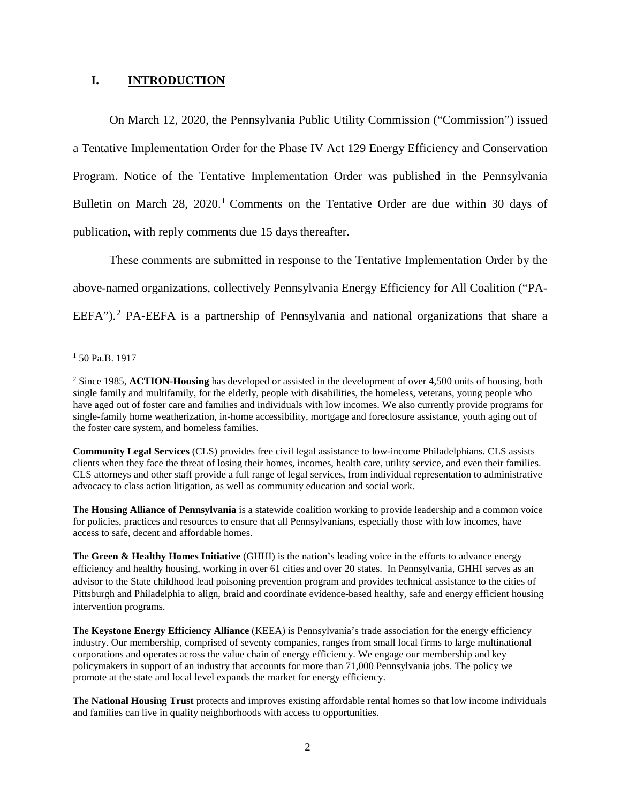## **I. INTRODUCTION**

On March 12, 2020, the Pennsylvania Public Utility Commission ("Commission") issued a Tentative Implementation Order for the Phase IV Act 129 Energy Efficiency and Conservation Program. Notice of the Tentative Implementation Order was published in the Pennsylvania Bulletin on March 28, 2020.<sup>1</sup> Comments on the Tentative Order are due within 30 days of publication, with reply comments due 15 days thereafter.

These comments are submitted in response to the Tentative Implementation Order by the above-named organizations, collectively Pennsylvania Energy Efficiency for All Coalition ("PA-EEFA").<sup>2</sup> PA-EEFA is a partnership of Pennsylvania and national organizations that share a

 $1$  50 Pa.B. 1917

**Community Legal Services** (CLS) provides free civil legal assistance to low-income Philadelphians. CLS assists clients when they face the threat of losing their homes, incomes, health care, utility service, and even their families. CLS attorneys and other staff provide a full range of legal services, from individual representation to administrative advocacy to class action litigation, as well as community education and social work.

The **Housing Alliance of Pennsylvania** is a statewide coalition working to provide leadership and a common voice for policies, practices and resources to ensure that all Pennsylvanians, especially those with low incomes, have access to safe, decent and affordable homes.

The **Green & Healthy Homes Initiative** (GHHI) is the nation's leading voice in the efforts to advance energy efficiency and healthy housing, working in over 61 cities and over 20 states. In Pennsylvania, GHHI serves as an advisor to the State childhood lead poisoning prevention program and provides technical assistance to the cities of Pittsburgh and Philadelphia to align, braid and coordinate evidence-based healthy, safe and energy efficient housing intervention programs.

The **Keystone Energy Efficiency Alliance** (KEEA) is Pennsylvania's trade association for the energy efficiency industry. Our membership, comprised of seventy companies, ranges from small local firms to large multinational corporations and operates across the value chain of energy efficiency. We engage our membership and key policymakers in support of an industry that accounts for more than 71,000 Pennsylvania jobs. The policy we promote at the state and local level expands the market for energy efficiency.

The **National Housing Trust** protects and improves existing affordable rental homes so that low income individuals and families can live in quality neighborhoods with access to opportunities.

<sup>2</sup> Since 1985, **ACTION-Housing** has developed or assisted in the development of over 4,500 units of housing, both single family and multifamily, for the elderly, people with disabilities, the homeless, veterans, young people who have aged out of foster care and families and individuals with low incomes. We also currently provide programs for single-family home weatherization, in-home accessibility, mortgage and foreclosure assistance, youth aging out of the foster care system, and homeless families.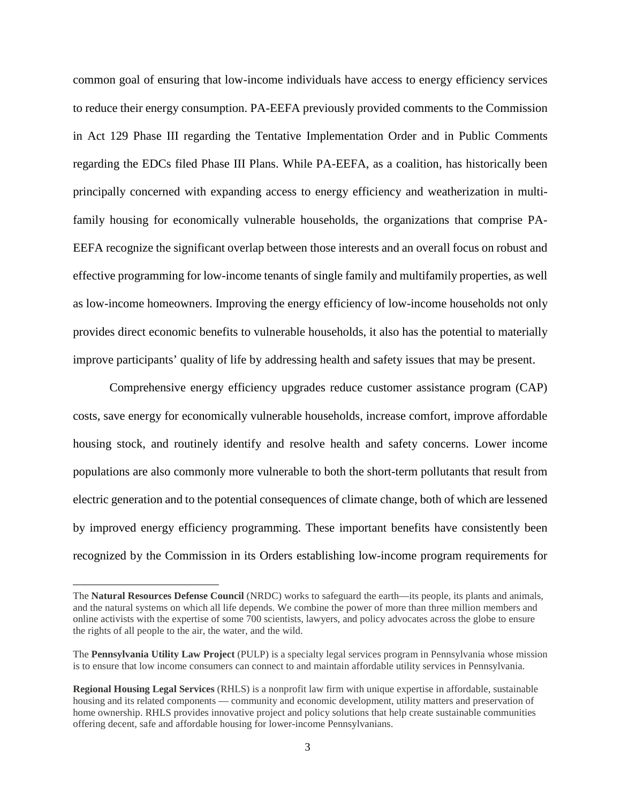common goal of ensuring that low-income individuals have access to energy efficiency services to reduce their energy consumption. PA-EEFA previously provided comments to the Commission in Act 129 Phase III regarding the Tentative Implementation Order and in Public Comments regarding the EDCs filed Phase III Plans. While PA-EEFA, as a coalition, has historically been principally concerned with expanding access to energy efficiency and weatherization in multifamily housing for economically vulnerable households, the organizations that comprise PA-EEFA recognize the significant overlap between those interests and an overall focus on robust and effective programming for low-income tenants of single family and multifamily properties, as well as low-income homeowners. Improving the energy efficiency of low-income households not only provides direct economic benefits to vulnerable households, it also has the potential to materially improve participants' quality of life by addressing health and safety issues that may be present.

Comprehensive energy efficiency upgrades reduce customer assistance program (CAP) costs, save energy for economically vulnerable households, increase comfort, improve affordable housing stock, and routinely identify and resolve health and safety concerns. Lower income populations are also commonly more vulnerable to both the short-term pollutants that result from electric generation and to the potential consequences of climate change, both of which are lessened by improved energy efficiency programming. These important benefits have consistently been recognized by the Commission in its Orders establishing low-income program requirements for

 $\overline{a}$ 

The **Natural Resources Defense Council** (NRDC) works to safeguard the earth—its people, its plants and animals, and the natural systems on which all life depends. We combine the power of more than three million members and online activists with the expertise of some 700 scientists, lawyers, and policy advocates across the globe to ensure the rights of all people to the air, the water, and the wild.

The **Pennsylvania Utility Law Project** (PULP) is a specialty legal services program in Pennsylvania whose mission is to ensure that low income consumers can connect to and maintain affordable utility services in Pennsylvania.

**Regional Housing Legal Services** (RHLS) is a nonprofit law firm with unique expertise in affordable, sustainable housing and its related components — community and economic development, utility matters and preservation of home ownership. RHLS provides innovative project and policy solutions that help create sustainable communities offering decent, safe and affordable housing for lower-income Pennsylvanians.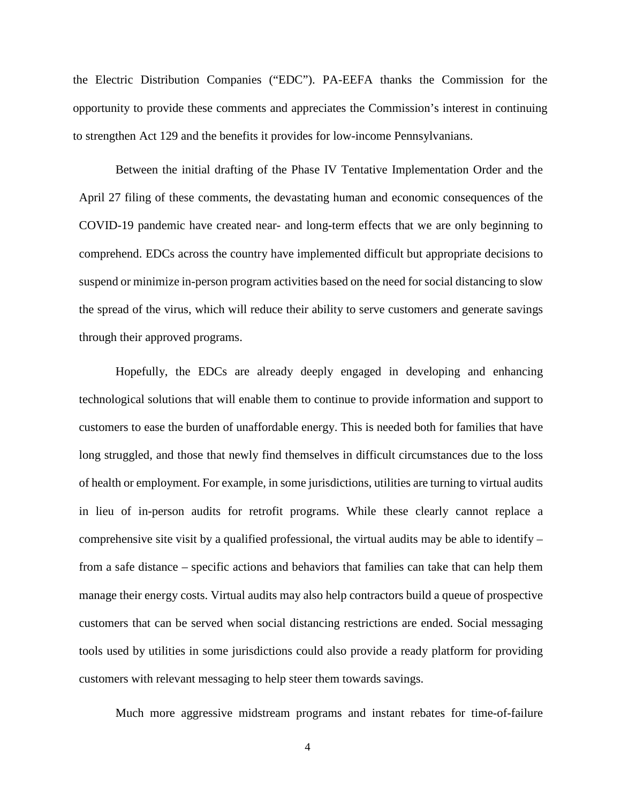the Electric Distribution Companies ("EDC"). PA-EEFA thanks the Commission for the opportunity to provide these comments and appreciates the Commission's interest in continuing to strengthen Act 129 and the benefits it provides for low-income Pennsylvanians.

Between the initial drafting of the Phase IV Tentative Implementation Order and the April 27 filing of these comments, the devastating human and economic consequences of the COVID-19 pandemic have created near- and long-term effects that we are only beginning to comprehend. EDCs across the country have implemented difficult but appropriate decisions to suspend or minimize in-person program activities based on the need for social distancing to slow the spread of the virus, which will reduce their ability to serve customers and generate savings through their approved programs.

Hopefully, the EDCs are already deeply engaged in developing and enhancing technological solutions that will enable them to continue to provide information and support to customers to ease the burden of unaffordable energy. This is needed both for families that have long struggled, and those that newly find themselves in difficult circumstances due to the loss of health or employment. For example, in some jurisdictions, utilities are turning to virtual audits in lieu of in-person audits for retrofit programs. While these clearly cannot replace a comprehensive site visit by a qualified professional, the virtual audits may be able to identify  $$ from a safe distance – specific actions and behaviors that families can take that can help them manage their energy costs. Virtual audits may also help contractors build a queue of prospective customers that can be served when social distancing restrictions are ended. Social messaging tools used by utilities in some jurisdictions could also provide a ready platform for providing customers with relevant messaging to help steer them towards savings.

Much more aggressive midstream programs and instant rebates for time-of-failure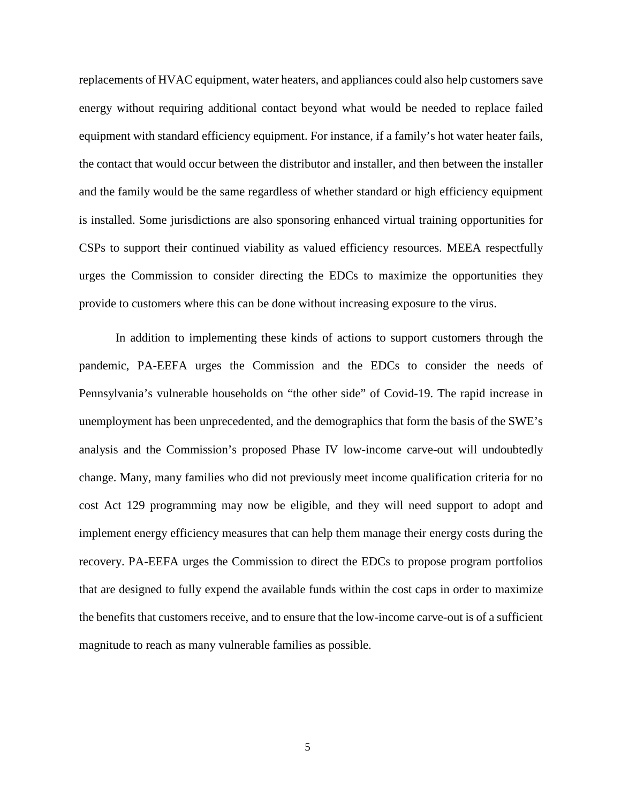replacements of HVAC equipment, water heaters, and appliances could also help customers save energy without requiring additional contact beyond what would be needed to replace failed equipment with standard efficiency equipment. For instance, if a family's hot water heater fails, the contact that would occur between the distributor and installer, and then between the installer and the family would be the same regardless of whether standard or high efficiency equipment is installed. Some jurisdictions are also sponsoring enhanced virtual training opportunities for CSPs to support their continued viability as valued efficiency resources. MEEA respectfully urges the Commission to consider directing the EDCs to maximize the opportunities they provide to customers where this can be done without increasing exposure to the virus.

In addition to implementing these kinds of actions to support customers through the pandemic, PA-EEFA urges the Commission and the EDCs to consider the needs of Pennsylvania's vulnerable households on "the other side" of Covid-19. The rapid increase in unemployment has been unprecedented, and the demographics that form the basis of the SWE's analysis and the Commission's proposed Phase IV low-income carve-out will undoubtedly change. Many, many families who did not previously meet income qualification criteria for no cost Act 129 programming may now be eligible, and they will need support to adopt and implement energy efficiency measures that can help them manage their energy costs during the recovery. PA-EEFA urges the Commission to direct the EDCs to propose program portfolios that are designed to fully expend the available funds within the cost caps in order to maximize the benefits that customers receive, and to ensure that the low-income carve-out is of a sufficient magnitude to reach as many vulnerable families as possible.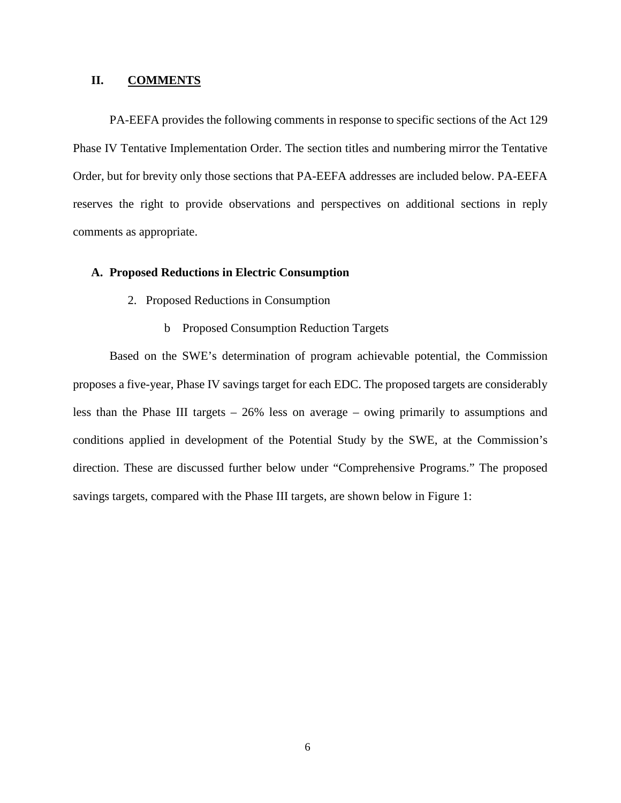## **II. COMMENTS**

PA-EEFA provides the following comments in response to specific sections of the Act 129 Phase IV Tentative Implementation Order. The section titles and numbering mirror the Tentative Order, but for brevity only those sections that PA-EEFA addresses are included below. PA-EEFA reserves the right to provide observations and perspectives on additional sections in reply comments as appropriate.

### **A. Proposed Reductions in Electric Consumption**

- 2. Proposed Reductions in Consumption
	- b Proposed Consumption Reduction Targets

Based on the SWE's determination of program achievable potential, the Commission proposes a five-year, Phase IV savings target for each EDC. The proposed targets are considerably less than the Phase III targets – 26% less on average – owing primarily to assumptions and conditions applied in development of the Potential Study by the SWE, at the Commission's direction. These are discussed further below under "Comprehensive Programs." The proposed savings targets, compared with the Phase III targets, are shown below in Figure 1: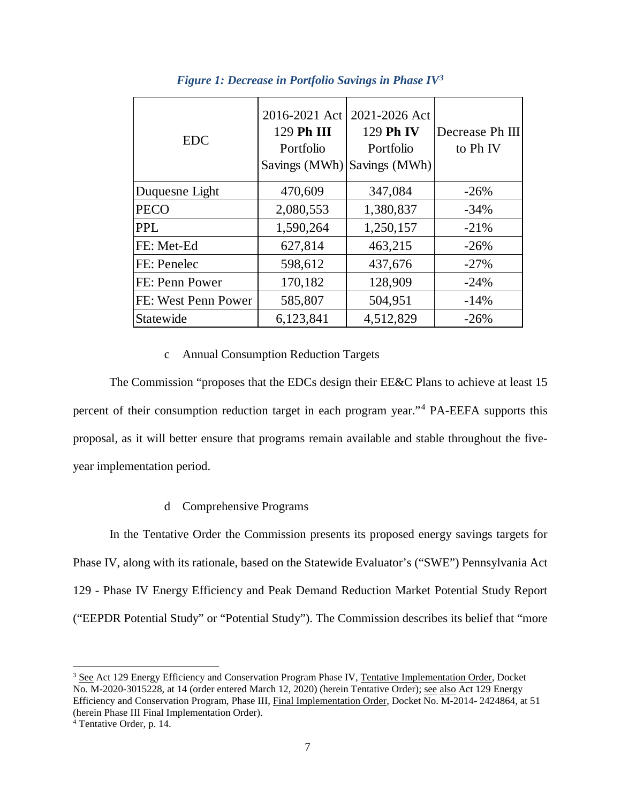| <b>EDC</b>          | 2016-2021 Act<br>129 Ph III<br>Portfolio | 2021-2026 Act<br>129 Ph IV<br>Portfolio<br>Savings (MWh) Savings (MWh) | Decrease Ph III<br>to Ph <sub>IV</sub> |
|---------------------|------------------------------------------|------------------------------------------------------------------------|----------------------------------------|
| Duquesne Light      | 470,609                                  | 347,084                                                                | $-26%$                                 |
| <b>PECO</b>         | 2,080,553                                | 1,380,837                                                              | $-34%$                                 |
| <b>PPL</b>          | 1,590,264                                | 1,250,157                                                              | $-21%$                                 |
| FE: Met-Ed          | 627,814                                  | 463,215                                                                | $-26%$                                 |
| FE: Penelec         | 598,612                                  | 437,676                                                                | $-27%$                                 |
| FE: Penn Power      | 170,182                                  | 128,909                                                                | $-24%$                                 |
| FE: West Penn Power | 585,807                                  | 504,951                                                                | $-14%$                                 |
| Statewide           | 6,123,841                                | 4,512,829                                                              | $-26%$                                 |

## *Figure 1: Decrease in Portfolio Savings in Phase IV3*

### c Annual Consumption Reduction Targets

The Commission "proposes that the EDCs design their EE&C Plans to achieve at least 15 percent of their consumption reduction target in each program year."<sup>4</sup> PA-EEFA supports this proposal, as it will better ensure that programs remain available and stable throughout the fiveyear implementation period.

### d Comprehensive Programs

In the Tentative Order the Commission presents its proposed energy savings targets for Phase IV, along with its rationale, based on the Statewide Evaluator's ("SWE") Pennsylvania Act 129 - Phase IV Energy Efficiency and Peak Demand Reduction Market Potential Study Report ("EEPDR Potential Study" or "Potential Study"). The Commission describes its belief that "more

<sup>&</sup>lt;sup>3</sup> See Act 129 Energy Efficiency and Conservation Program Phase IV, Tentative Implementation Order, Docket No. M-2020-3015228, at 14 (order entered March 12, 2020) (herein Tentative Order); see also Act 129 Energy Efficiency and Conservation Program, Phase III, Final Implementation Order, Docket No. M-2014- 2424864, at 51 (herein Phase III Final Implementation Order).

<sup>4</sup> Tentative Order, p. 14.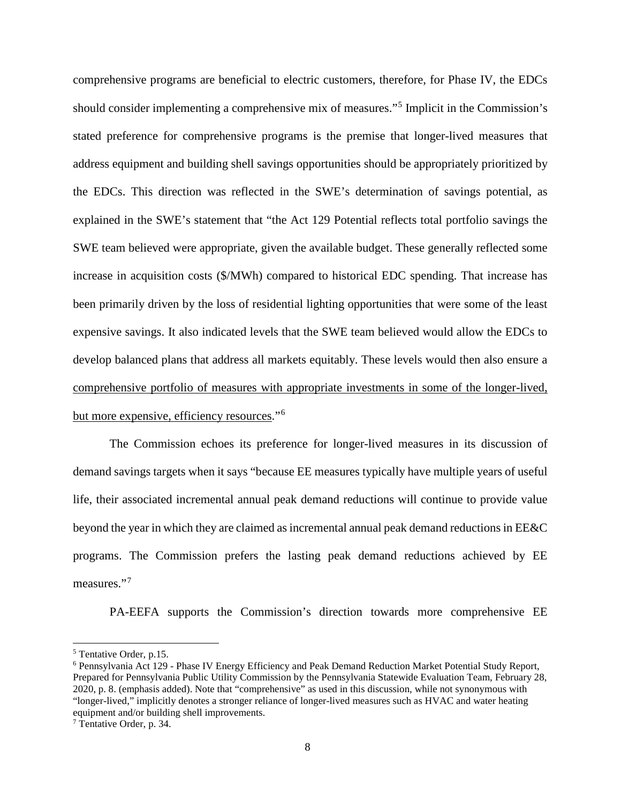comprehensive programs are beneficial to electric customers, therefore, for Phase IV, the EDCs should consider implementing a comprehensive mix of measures."<sup>5</sup> Implicit in the Commission's stated preference for comprehensive programs is the premise that longer-lived measures that address equipment and building shell savings opportunities should be appropriately prioritized by the EDCs. This direction was reflected in the SWE's determination of savings potential, as explained in the SWE's statement that "the Act 129 Potential reflects total portfolio savings the SWE team believed were appropriate, given the available budget. These generally reflected some increase in acquisition costs (\$/MWh) compared to historical EDC spending. That increase has been primarily driven by the loss of residential lighting opportunities that were some of the least expensive savings. It also indicated levels that the SWE team believed would allow the EDCs to develop balanced plans that address all markets equitably. These levels would then also ensure a comprehensive portfolio of measures with appropriate investments in some of the longer-lived, but more expensive, efficiency resources."<sup>6</sup>

The Commission echoes its preference for longer-lived measures in its discussion of demand savings targets when it says "because EE measures typically have multiple years of useful life, their associated incremental annual peak demand reductions will continue to provide value beyond the year in which they are claimed as incremental annual peak demand reductions in EE&C programs. The Commission prefers the lasting peak demand reductions achieved by EE measures."<sup>7</sup>

PA-EEFA supports the Commission's direction towards more comprehensive EE

 <sup>5</sup> Tentative Order, p.15.

<sup>6</sup> Pennsylvania Act 129 - Phase IV Energy Efficiency and Peak Demand Reduction Market Potential Study Report, Prepared for Pennsylvania Public Utility Commission by the Pennsylvania Statewide Evaluation Team, February 28, 2020, p. 8. (emphasis added). Note that "comprehensive" as used in this discussion, while not synonymous with "longer-lived," implicitly denotes a stronger reliance of longer-lived measures such as HVAC and water heating equipment and/or building shell improvements.

<sup>7</sup> Tentative Order, p. 34.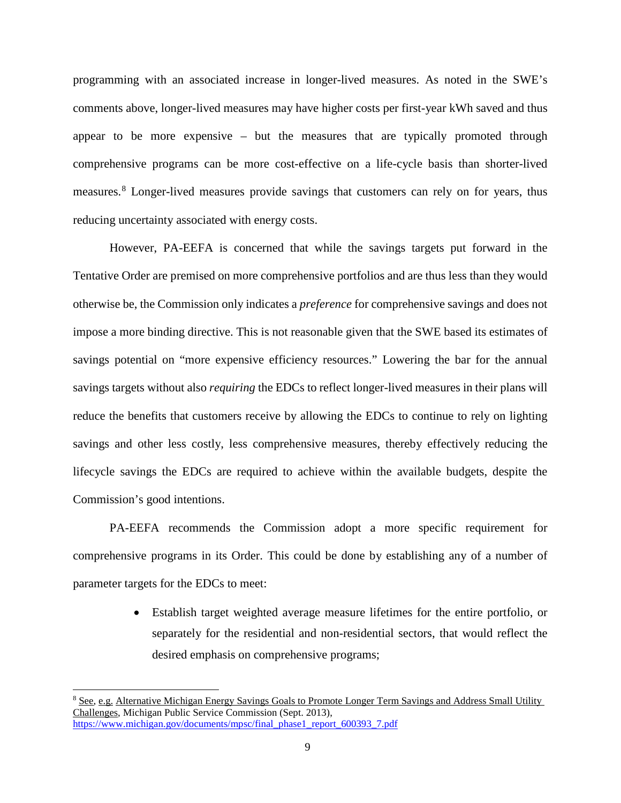programming with an associated increase in longer-lived measures. As noted in the SWE's comments above, longer-lived measures may have higher costs per first-year kWh saved and thus appear to be more expensive – but the measures that are typically promoted through comprehensive programs can be more cost-effective on a life-cycle basis than shorter-lived measures. <sup>8</sup> Longer-lived measures provide savings that customers can rely on for years, thus reducing uncertainty associated with energy costs.

However, PA-EEFA is concerned that while the savings targets put forward in the Tentative Order are premised on more comprehensive portfolios and are thus less than they would otherwise be, the Commission only indicates a *preference* for comprehensive savings and does not impose a more binding directive. This is not reasonable given that the SWE based its estimates of savings potential on "more expensive efficiency resources." Lowering the bar for the annual savings targets without also *requiring* the EDCs to reflect longer-lived measures in their plans will reduce the benefits that customers receive by allowing the EDCs to continue to rely on lighting savings and other less costly, less comprehensive measures, thereby effectively reducing the lifecycle savings the EDCs are required to achieve within the available budgets, despite the Commission's good intentions.

PA-EEFA recommends the Commission adopt a more specific requirement for comprehensive programs in its Order. This could be done by establishing any of a number of parameter targets for the EDCs to meet:

> • Establish target weighted average measure lifetimes for the entire portfolio, or separately for the residential and non-residential sectors, that would reflect the desired emphasis on comprehensive programs;

 <sup>8</sup> See, e.g. Alternative Michigan Energy Savings Goals to Promote Longer Term Savings and Address Small Utility Challenges, Michigan Public Service Commission (Sept. 2013), https://www.michigan.gov/documents/mpsc/final\_phase1\_report\_600393\_7.pdf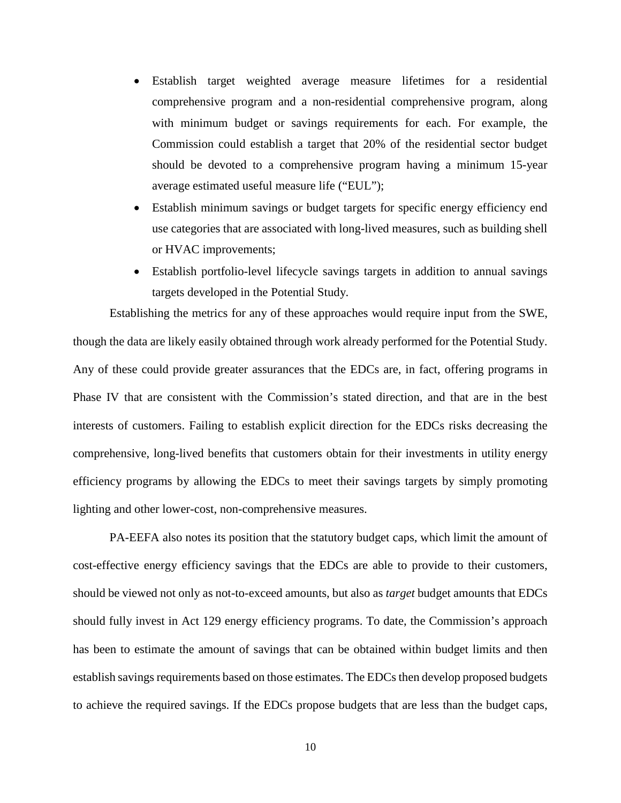- Establish target weighted average measure lifetimes for a residential comprehensive program and a non-residential comprehensive program, along with minimum budget or savings requirements for each. For example, the Commission could establish a target that 20% of the residential sector budget should be devoted to a comprehensive program having a minimum 15-year average estimated useful measure life ("EUL");
- Establish minimum savings or budget targets for specific energy efficiency end use categories that are associated with long-lived measures, such as building shell or HVAC improvements;
- Establish portfolio-level lifecycle savings targets in addition to annual savings targets developed in the Potential Study.

Establishing the metrics for any of these approaches would require input from the SWE, though the data are likely easily obtained through work already performed for the Potential Study. Any of these could provide greater assurances that the EDCs are, in fact, offering programs in Phase IV that are consistent with the Commission's stated direction, and that are in the best interests of customers. Failing to establish explicit direction for the EDCs risks decreasing the comprehensive, long-lived benefits that customers obtain for their investments in utility energy efficiency programs by allowing the EDCs to meet their savings targets by simply promoting lighting and other lower-cost, non-comprehensive measures.

PA-EEFA also notes its position that the statutory budget caps, which limit the amount of cost-effective energy efficiency savings that the EDCs are able to provide to their customers, should be viewed not only as not-to-exceed amounts, but also as *target* budget amounts that EDCs should fully invest in Act 129 energy efficiency programs. To date, the Commission's approach has been to estimate the amount of savings that can be obtained within budget limits and then establish savings requirements based on those estimates. The EDCs then develop proposed budgets to achieve the required savings. If the EDCs propose budgets that are less than the budget caps,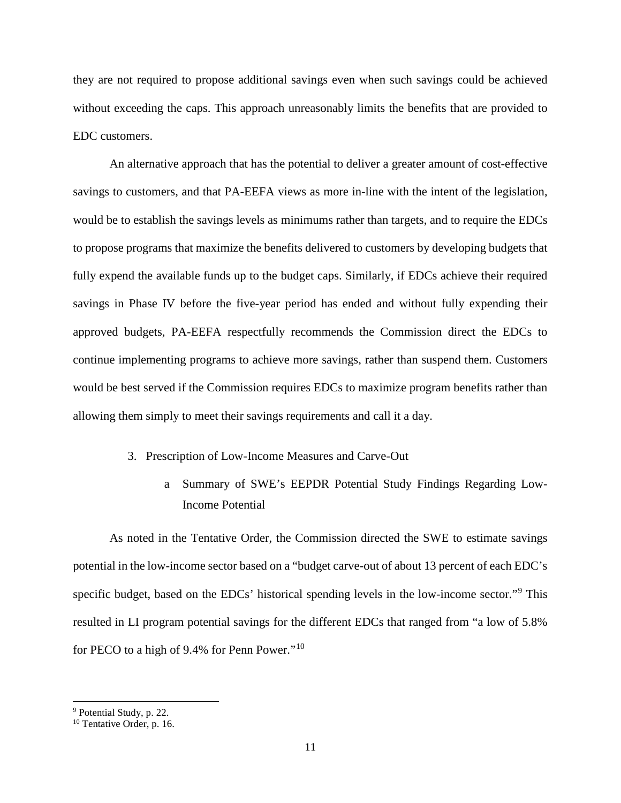they are not required to propose additional savings even when such savings could be achieved without exceeding the caps. This approach unreasonably limits the benefits that are provided to EDC customers.

An alternative approach that has the potential to deliver a greater amount of cost-effective savings to customers, and that PA-EEFA views as more in-line with the intent of the legislation, would be to establish the savings levels as minimums rather than targets, and to require the EDCs to propose programs that maximize the benefits delivered to customers by developing budgets that fully expend the available funds up to the budget caps. Similarly, if EDCs achieve their required savings in Phase IV before the five-year period has ended and without fully expending their approved budgets, PA-EEFA respectfully recommends the Commission direct the EDCs to continue implementing programs to achieve more savings, rather than suspend them. Customers would be best served if the Commission requires EDCs to maximize program benefits rather than allowing them simply to meet their savings requirements and call it a day.

- 3. Prescription of Low-Income Measures and Carve-Out
	- a Summary of SWE's EEPDR Potential Study Findings Regarding Low-Income Potential

As noted in the Tentative Order, the Commission directed the SWE to estimate savings potential in the low-income sector based on a "budget carve-out of about 13 percent of each EDC's specific budget, based on the EDCs' historical spending levels in the low-income sector."<sup>9</sup> This resulted in LI program potential savings for the different EDCs that ranged from "a low of 5.8% for PECO to a high of 9.4% for Penn Power."<sup>10</sup>

 <sup>9</sup> Potential Study, p. 22.

<sup>10</sup> Tentative Order, p. 16.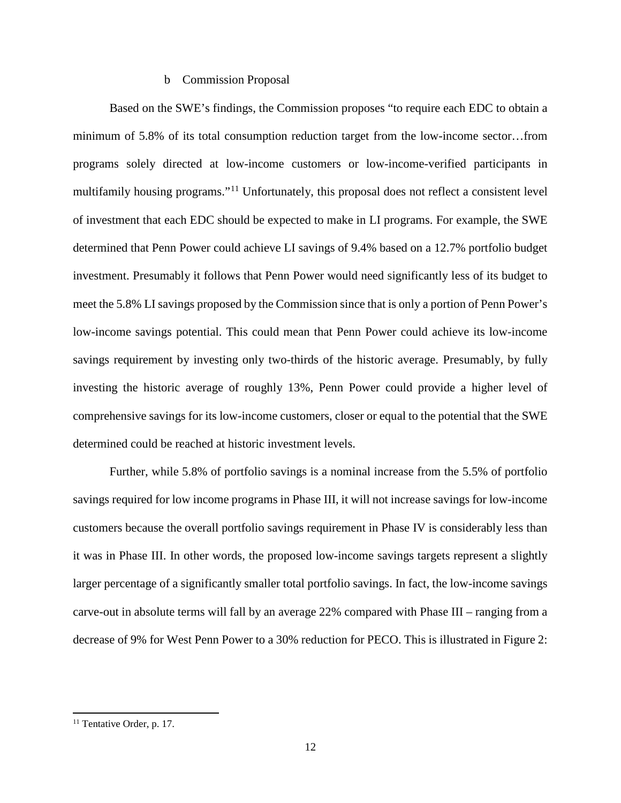#### b Commission Proposal

Based on the SWE's findings, the Commission proposes "to require each EDC to obtain a minimum of 5.8% of its total consumption reduction target from the low-income sector…from programs solely directed at low-income customers or low-income-verified participants in multifamily housing programs."<sup>11</sup> Unfortunately, this proposal does not reflect a consistent level of investment that each EDC should be expected to make in LI programs. For example, the SWE determined that Penn Power could achieve LI savings of 9.4% based on a 12.7% portfolio budget investment. Presumably it follows that Penn Power would need significantly less of its budget to meet the 5.8% LI savings proposed by the Commission since that is only a portion of Penn Power's low-income savings potential. This could mean that Penn Power could achieve its low-income savings requirement by investing only two-thirds of the historic average. Presumably, by fully investing the historic average of roughly 13%, Penn Power could provide a higher level of comprehensive savings for its low-income customers, closer or equal to the potential that the SWE determined could be reached at historic investment levels.

Further, while 5.8% of portfolio savings is a nominal increase from the 5.5% of portfolio savings required for low income programs in Phase III, it will not increase savings for low-income customers because the overall portfolio savings requirement in Phase IV is considerably less than it was in Phase III. In other words, the proposed low-income savings targets represent a slightly larger percentage of a significantly smaller total portfolio savings. In fact, the low-income savings carve-out in absolute terms will fall by an average 22% compared with Phase III – ranging from a decrease of 9% for West Penn Power to a 30% reduction for PECO. This is illustrated in Figure 2:

<sup>&</sup>lt;sup>11</sup> Tentative Order, p. 17.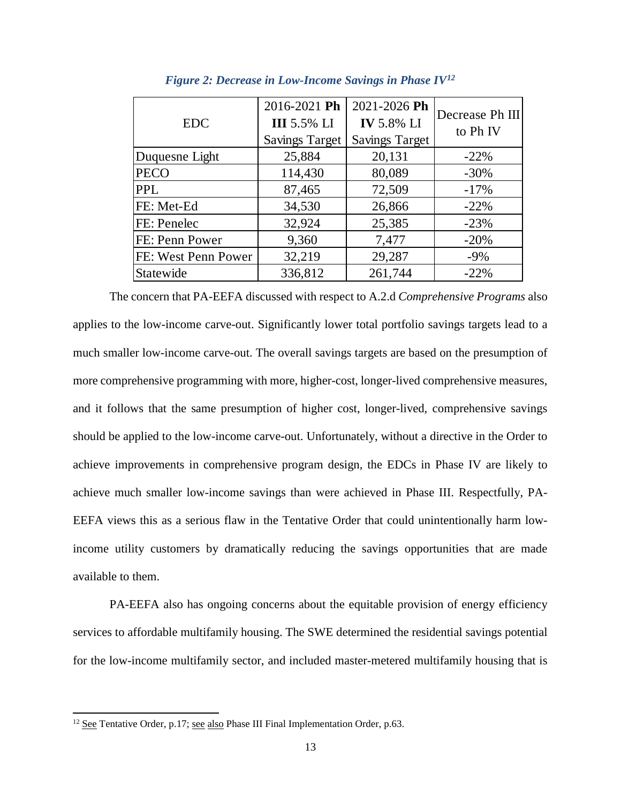| <b>EDC</b>          | 2016-2021 Ph<br><b>III</b> 5.5% LI<br><b>Savings Target</b> | 2021-2026 Ph<br><b>IV</b> 5.8% LI<br><b>Savings Target</b> | Decrease Ph III<br>to Ph <sub>IV</sub> |
|---------------------|-------------------------------------------------------------|------------------------------------------------------------|----------------------------------------|
| Duquesne Light      | 25,884                                                      | 20,131                                                     | $-22\%$                                |
| <b>PECO</b>         | 114,430                                                     | 80,089                                                     | $-30\%$                                |
| <b>PPL</b>          | 87,465                                                      | 72,509                                                     | $-17%$                                 |
| FE: Met-Ed          | 34,530                                                      | 26,866                                                     | $-22\%$                                |
| FE: Penelec         | 32,924                                                      | 25,385                                                     | $-23%$                                 |
| FE: Penn Power      | 9,360                                                       | 7,477                                                      | $-20%$                                 |
| FE: West Penn Power | 32,219                                                      | 29,287                                                     | $-9\%$                                 |
| Statewide           | 336,812                                                     | 261,744                                                    | $-22%$                                 |

*Figure 2: Decrease in Low-Income Savings in Phase IV12*

The concern that PA-EEFA discussed with respect to A.2.d *Comprehensive Programs* also applies to the low-income carve-out. Significantly lower total portfolio savings targets lead to a much smaller low-income carve-out. The overall savings targets are based on the presumption of more comprehensive programming with more, higher-cost, longer-lived comprehensive measures, and it follows that the same presumption of higher cost, longer-lived, comprehensive savings should be applied to the low-income carve-out. Unfortunately, without a directive in the Order to achieve improvements in comprehensive program design, the EDCs in Phase IV are likely to achieve much smaller low-income savings than were achieved in Phase III. Respectfully, PA-EEFA views this as a serious flaw in the Tentative Order that could unintentionally harm lowincome utility customers by dramatically reducing the savings opportunities that are made available to them.

PA-EEFA also has ongoing concerns about the equitable provision of energy efficiency services to affordable multifamily housing. The SWE determined the residential savings potential for the low-income multifamily sector, and included master-metered multifamily housing that is

<sup>&</sup>lt;sup>12</sup> See Tentative Order, p.17; see also Phase III Final Implementation Order, p.63.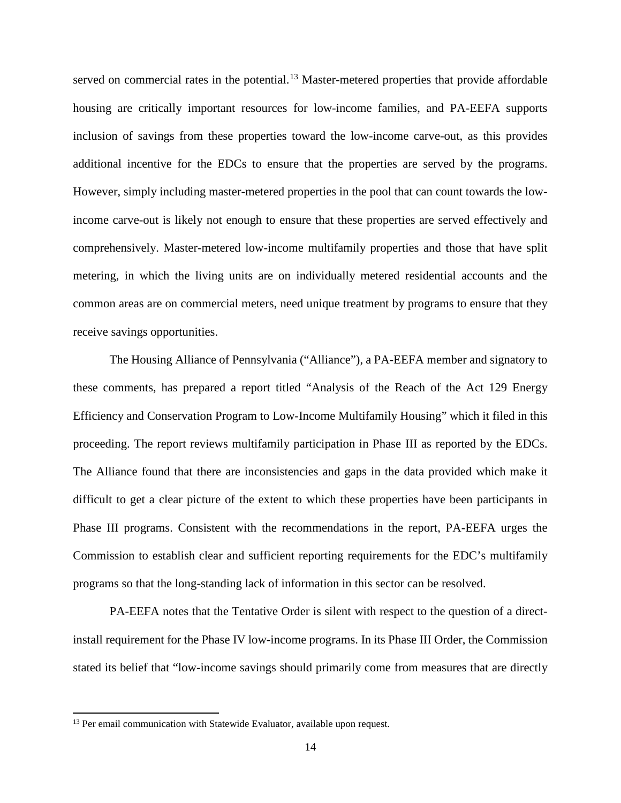served on commercial rates in the potential.<sup>13</sup> Master-metered properties that provide affordable housing are critically important resources for low-income families, and PA-EEFA supports inclusion of savings from these properties toward the low-income carve-out, as this provides additional incentive for the EDCs to ensure that the properties are served by the programs. However, simply including master-metered properties in the pool that can count towards the lowincome carve-out is likely not enough to ensure that these properties are served effectively and comprehensively. Master-metered low-income multifamily properties and those that have split metering, in which the living units are on individually metered residential accounts and the common areas are on commercial meters, need unique treatment by programs to ensure that they receive savings opportunities.

The Housing Alliance of Pennsylvania ("Alliance"), a PA-EEFA member and signatory to these comments, has prepared a report titled "Analysis of the Reach of the Act 129 Energy Efficiency and Conservation Program to Low-Income Multifamily Housing" which it filed in this proceeding. The report reviews multifamily participation in Phase III as reported by the EDCs. The Alliance found that there are inconsistencies and gaps in the data provided which make it difficult to get a clear picture of the extent to which these properties have been participants in Phase III programs. Consistent with the recommendations in the report, PA-EEFA urges the Commission to establish clear and sufficient reporting requirements for the EDC's multifamily programs so that the long-standing lack of information in this sector can be resolved.

PA-EEFA notes that the Tentative Order is silent with respect to the question of a directinstall requirement for the Phase IV low-income programs. In its Phase III Order, the Commission stated its belief that "low-income savings should primarily come from measures that are directly

<sup>&</sup>lt;sup>13</sup> Per email communication with Statewide Evaluator, available upon request.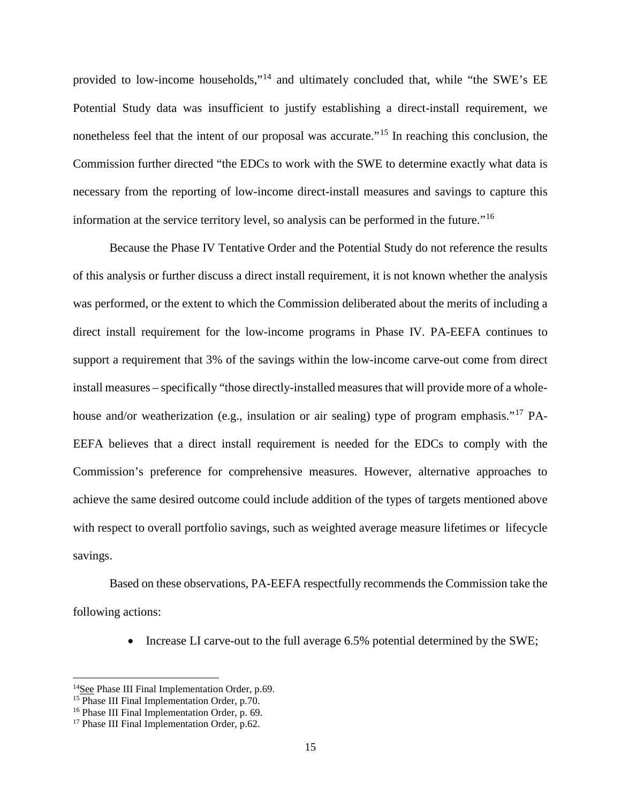provided to low-income households,"<sup>14</sup> and ultimately concluded that, while "the SWE's EE Potential Study data was insufficient to justify establishing a direct-install requirement, we nonetheless feel that the intent of our proposal was accurate.<sup>"15</sup> In reaching this conclusion, the Commission further directed "the EDCs to work with the SWE to determine exactly what data is necessary from the reporting of low-income direct-install measures and savings to capture this information at the service territory level, so analysis can be performed in the future."<sup>16</sup>

Because the Phase IV Tentative Order and the Potential Study do not reference the results of this analysis or further discuss a direct install requirement, it is not known whether the analysis was performed, or the extent to which the Commission deliberated about the merits of including a direct install requirement for the low-income programs in Phase IV. PA-EEFA continues to support a requirement that 3% of the savings within the low-income carve-out come from direct install measures – specifically "those directly-installed measures that will provide more of a wholehouse and/or weatherization (e.g., insulation or air sealing) type of program emphasis."<sup>17</sup> PA-EEFA believes that a direct install requirement is needed for the EDCs to comply with the Commission's preference for comprehensive measures. However, alternative approaches to achieve the same desired outcome could include addition of the types of targets mentioned above with respect to overall portfolio savings, such as weighted average measure lifetimes or lifecycle savings.

Based on these observations, PA-EEFA respectfully recommends the Commission take the following actions:

• Increase LI carve-out to the full average 6.5% potential determined by the SWE;

<sup>&</sup>lt;sup>14</sup>See Phase III Final Implementation Order, p.69.

 $15$  Phase III Final Implementation Order, p.70.

<sup>&</sup>lt;sup>16</sup> Phase III Final Implementation Order, p. 69.

<sup>&</sup>lt;sup>17</sup> Phase III Final Implementation Order, p.62.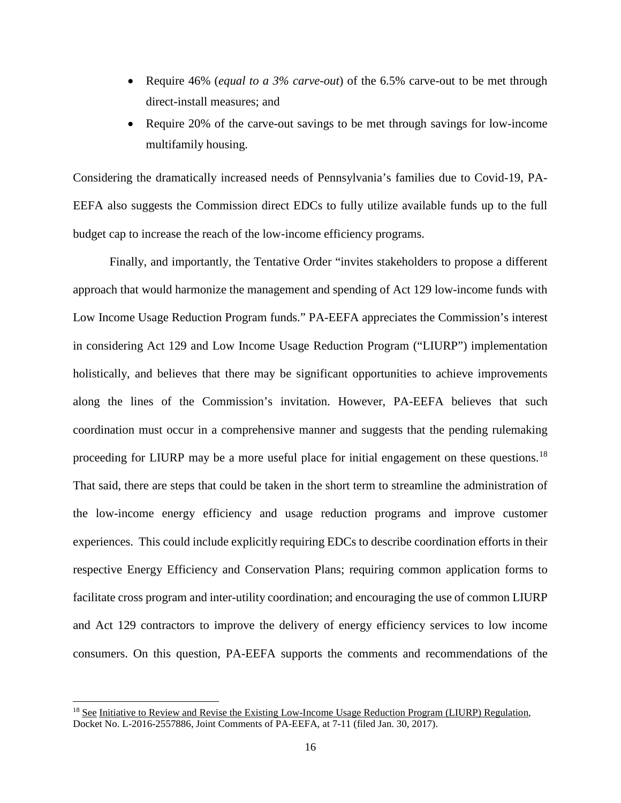- Require 46% (*equal to a 3% carve-out*) of the 6.5% carve-out to be met through direct-install measures; and
- Require 20% of the carve-out savings to be met through savings for low-income multifamily housing.

Considering the dramatically increased needs of Pennsylvania's families due to Covid-19, PA-EEFA also suggests the Commission direct EDCs to fully utilize available funds up to the full budget cap to increase the reach of the low-income efficiency programs.

Finally, and importantly, the Tentative Order "invites stakeholders to propose a different approach that would harmonize the management and spending of Act 129 low-income funds with Low Income Usage Reduction Program funds." PA-EEFA appreciates the Commission's interest in considering Act 129 and Low Income Usage Reduction Program ("LIURP") implementation holistically, and believes that there may be significant opportunities to achieve improvements along the lines of the Commission's invitation. However, PA-EEFA believes that such coordination must occur in a comprehensive manner and suggests that the pending rulemaking proceeding for LIURP may be a more useful place for initial engagement on these questions.<sup>18</sup> That said, there are steps that could be taken in the short term to streamline the administration of the low-income energy efficiency and usage reduction programs and improve customer experiences. This could include explicitly requiring EDCs to describe coordination efforts in their respective Energy Efficiency and Conservation Plans; requiring common application forms to facilitate cross program and inter-utility coordination; and encouraging the use of common LIURP and Act 129 contractors to improve the delivery of energy efficiency services to low income consumers. On this question, PA-EEFA supports the comments and recommendations of the

<sup>&</sup>lt;sup>18</sup> See Initiative to Review and Revise the Existing Low-Income Usage Reduction Program (LIURP) Regulation, Docket No. L-2016-2557886, Joint Comments of PA-EEFA, at 7-11 (filed Jan. 30, 2017).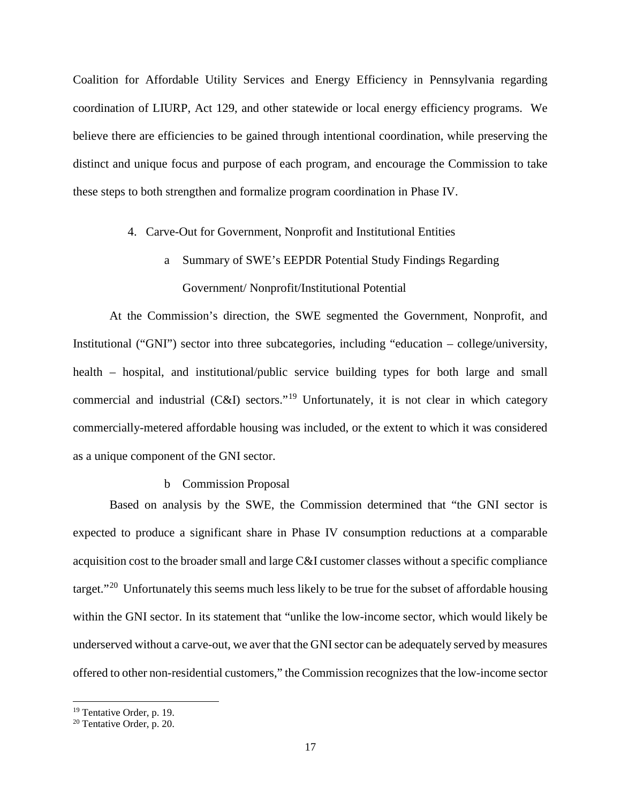Coalition for Affordable Utility Services and Energy Efficiency in Pennsylvania regarding coordination of LIURP, Act 129, and other statewide or local energy efficiency programs. We believe there are efficiencies to be gained through intentional coordination, while preserving the distinct and unique focus and purpose of each program, and encourage the Commission to take these steps to both strengthen and formalize program coordination in Phase IV.

### 4. Carve-Out for Government, Nonprofit and Institutional Entities

a Summary of SWE's EEPDR Potential Study Findings Regarding Government/ Nonprofit/Institutional Potential

At the Commission's direction, the SWE segmented the Government, Nonprofit, and Institutional ("GNI") sector into three subcategories, including "education – college/university, health – hospital, and institutional/public service building types for both large and small commercial and industrial  $(C&I)$  sectors."<sup>19</sup> Unfortunately, it is not clear in which category commercially-metered affordable housing was included, or the extent to which it was considered as a unique component of the GNI sector.

#### b Commission Proposal

Based on analysis by the SWE, the Commission determined that "the GNI sector is expected to produce a significant share in Phase IV consumption reductions at a comparable acquisition cost to the broader small and large C&I customer classes without a specific compliance target."<sup>20</sup> Unfortunately this seems much less likely to be true for the subset of affordable housing within the GNI sector. In its statement that "unlike the low-income sector, which would likely be underserved without a carve-out, we aver that the GNI sector can be adequately served by measures offered to other non-residential customers," the Commission recognizes that the low-income sector

<sup>&</sup>lt;sup>19</sup> Tentative Order, p. 19.

<sup>20</sup> Tentative Order, p. 20.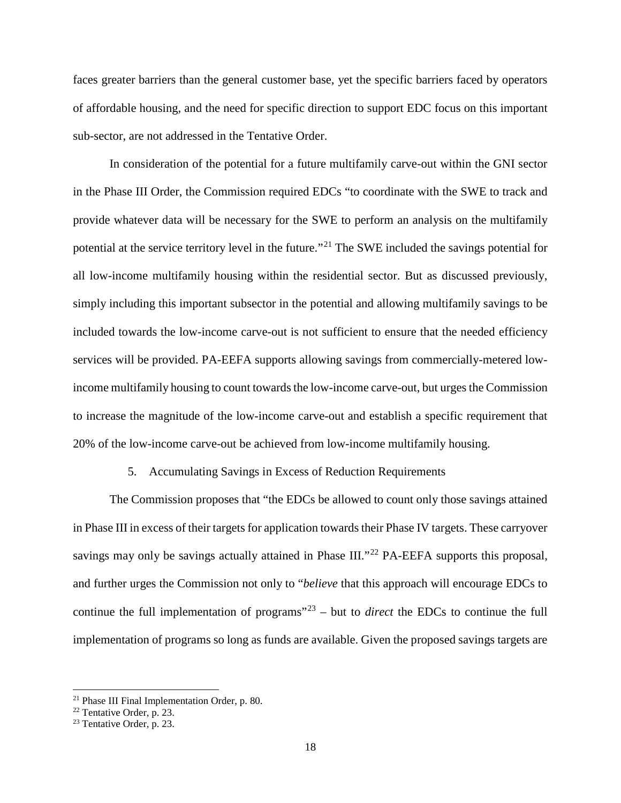faces greater barriers than the general customer base, yet the specific barriers faced by operators of affordable housing, and the need for specific direction to support EDC focus on this important sub-sector, are not addressed in the Tentative Order.

In consideration of the potential for a future multifamily carve-out within the GNI sector in the Phase III Order, the Commission required EDCs "to coordinate with the SWE to track and provide whatever data will be necessary for the SWE to perform an analysis on the multifamily potential at the service territory level in the future."<sup>21</sup> The SWE included the savings potential for all low-income multifamily housing within the residential sector. But as discussed previously, simply including this important subsector in the potential and allowing multifamily savings to be included towards the low-income carve-out is not sufficient to ensure that the needed efficiency services will be provided. PA-EEFA supports allowing savings from commercially-metered lowincome multifamily housing to count towards the low-income carve-out, but urges the Commission to increase the magnitude of the low-income carve-out and establish a specific requirement that 20% of the low-income carve-out be achieved from low-income multifamily housing.

### 5. Accumulating Savings in Excess of Reduction Requirements

The Commission proposes that "the EDCs be allowed to count only those savings attained in Phase III in excess of their targets for application towards their Phase IV targets. These carryover savings may only be savings actually attained in Phase III."<sup>22</sup> PA-EEFA supports this proposal, and further urges the Commission not only to "*believe* that this approach will encourage EDCs to continue the full implementation of programs<sup> $23$ </sup> – but to *direct* the EDCs to continue the full implementation of programs so long as funds are available. Given the proposed savings targets are

 <sup>21</sup> Phase III Final Implementation Order, p. 80.

<sup>22</sup> Tentative Order, p. 23.

<sup>23</sup> Tentative Order, p. 23.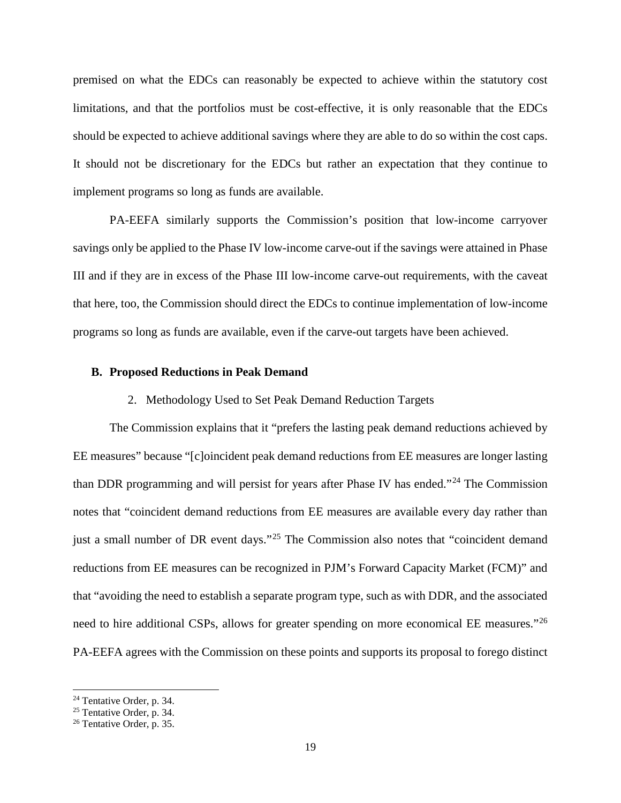premised on what the EDCs can reasonably be expected to achieve within the statutory cost limitations, and that the portfolios must be cost-effective, it is only reasonable that the EDCs should be expected to achieve additional savings where they are able to do so within the cost caps. It should not be discretionary for the EDCs but rather an expectation that they continue to implement programs so long as funds are available.

PA-EEFA similarly supports the Commission's position that low-income carryover savings only be applied to the Phase IV low-income carve-out if the savings were attained in Phase III and if they are in excess of the Phase III low-income carve-out requirements, with the caveat that here, too, the Commission should direct the EDCs to continue implementation of low-income programs so long as funds are available, even if the carve-out targets have been achieved.

### **B. Proposed Reductions in Peak Demand**

#### 2. Methodology Used to Set Peak Demand Reduction Targets

The Commission explains that it "prefers the lasting peak demand reductions achieved by EE measures" because "[c]oincident peak demand reductions from EE measures are longer lasting than DDR programming and will persist for years after Phase IV has ended."<sup>24</sup> The Commission notes that "coincident demand reductions from EE measures are available every day rather than just a small number of DR event days."<sup>25</sup> The Commission also notes that "coincident demand" reductions from EE measures can be recognized in PJM's Forward Capacity Market (FCM)" and that "avoiding the need to establish a separate program type, such as with DDR, and the associated need to hire additional CSPs, allows for greater spending on more economical EE measures."<sup>26</sup> PA-EEFA agrees with the Commission on these points and supports its proposal to forego distinct

 <sup>24</sup> Tentative Order, p. 34.

<sup>&</sup>lt;sup>25</sup> Tentative Order, p. 34.<br><sup>26</sup> Tentative Order, p. 35.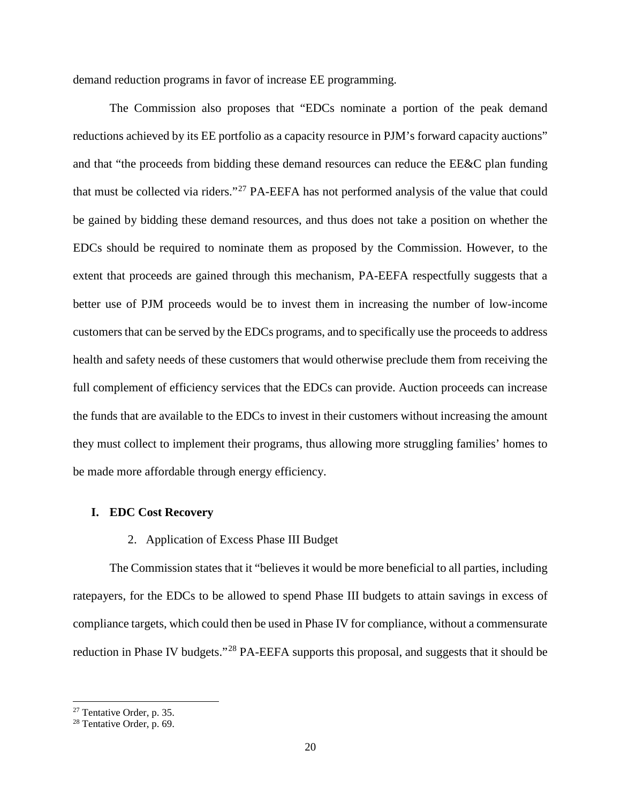demand reduction programs in favor of increase EE programming.

The Commission also proposes that "EDCs nominate a portion of the peak demand reductions achieved by its EE portfolio as a capacity resource in PJM's forward capacity auctions" and that "the proceeds from bidding these demand resources can reduce the EE&C plan funding that must be collected via riders."<sup>27</sup> PA-EEFA has not performed analysis of the value that could be gained by bidding these demand resources, and thus does not take a position on whether the EDCs should be required to nominate them as proposed by the Commission. However, to the extent that proceeds are gained through this mechanism, PA-EEFA respectfully suggests that a better use of PJM proceeds would be to invest them in increasing the number of low-income customers that can be served by the EDCs programs, and to specifically use the proceeds to address health and safety needs of these customers that would otherwise preclude them from receiving the full complement of efficiency services that the EDCs can provide. Auction proceeds can increase the funds that are available to the EDCs to invest in their customers without increasing the amount they must collect to implement their programs, thus allowing more struggling families' homes to be made more affordable through energy efficiency.

### **I. EDC Cost Recovery**

#### 2. Application of Excess Phase III Budget

The Commission states that it "believes it would be more beneficial to all parties, including ratepayers, for the EDCs to be allowed to spend Phase III budgets to attain savings in excess of compliance targets, which could then be used in Phase IV for compliance, without a commensurate reduction in Phase IV budgets."<sup>28</sup> PA-EEFA supports this proposal, and suggests that it should be

 <sup>27</sup> Tentative Order, p. 35.

<sup>28</sup> Tentative Order, p. 69.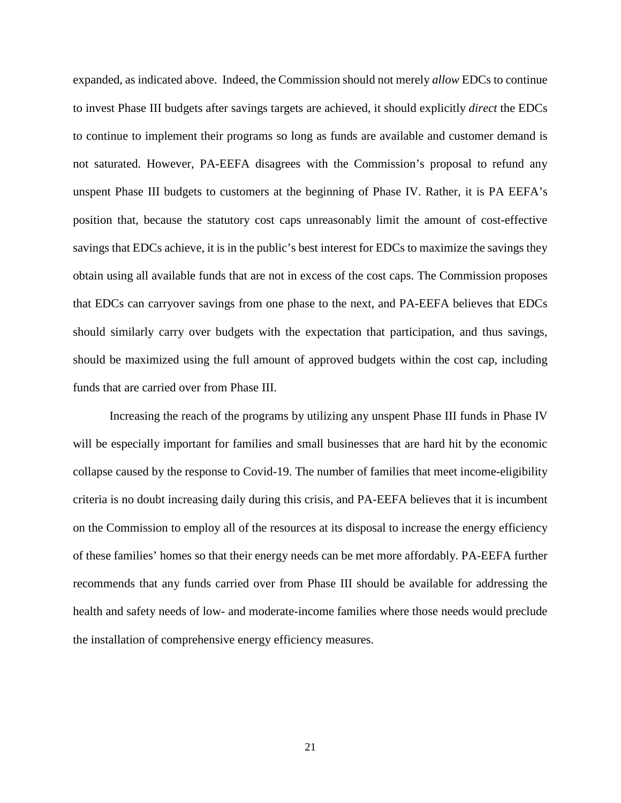expanded, as indicated above. Indeed, the Commission should not merely *allow* EDCs to continue to invest Phase III budgets after savings targets are achieved, it should explicitly *direct* the EDCs to continue to implement their programs so long as funds are available and customer demand is not saturated. However, PA-EEFA disagrees with the Commission's proposal to refund any unspent Phase III budgets to customers at the beginning of Phase IV. Rather, it is PA EEFA's position that, because the statutory cost caps unreasonably limit the amount of cost-effective savings that EDCs achieve, it is in the public's best interest for EDCs to maximize the savings they obtain using all available funds that are not in excess of the cost caps. The Commission proposes that EDCs can carryover savings from one phase to the next, and PA-EEFA believes that EDCs should similarly carry over budgets with the expectation that participation, and thus savings, should be maximized using the full amount of approved budgets within the cost cap, including funds that are carried over from Phase III.

Increasing the reach of the programs by utilizing any unspent Phase III funds in Phase IV will be especially important for families and small businesses that are hard hit by the economic collapse caused by the response to Covid-19. The number of families that meet income-eligibility criteria is no doubt increasing daily during this crisis, and PA-EEFA believes that it is incumbent on the Commission to employ all of the resources at its disposal to increase the energy efficiency of these families' homes so that their energy needs can be met more affordably. PA-EEFA further recommends that any funds carried over from Phase III should be available for addressing the health and safety needs of low- and moderate-income families where those needs would preclude the installation of comprehensive energy efficiency measures.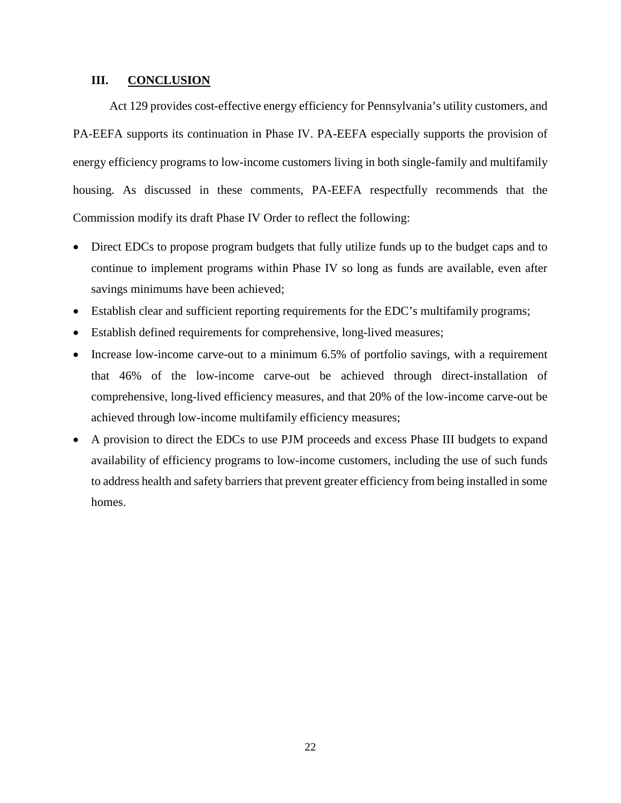### **III. CONCLUSION**

Act 129 provides cost-effective energy efficiency for Pennsylvania's utility customers, and PA-EEFA supports its continuation in Phase IV. PA-EEFA especially supports the provision of energy efficiency programs to low-income customers living in both single-family and multifamily housing. As discussed in these comments, PA-EEFA respectfully recommends that the Commission modify its draft Phase IV Order to reflect the following:

- Direct EDCs to propose program budgets that fully utilize funds up to the budget caps and to continue to implement programs within Phase IV so long as funds are available, even after savings minimums have been achieved;
- Establish clear and sufficient reporting requirements for the EDC's multifamily programs;
- Establish defined requirements for comprehensive, long-lived measures;
- Increase low-income carve-out to a minimum 6.5% of portfolio savings, with a requirement that 46% of the low-income carve-out be achieved through direct-installation of comprehensive, long-lived efficiency measures, and that 20% of the low-income carve-out be achieved through low-income multifamily efficiency measures;
- A provision to direct the EDCs to use PJM proceeds and excess Phase III budgets to expand availability of efficiency programs to low-income customers, including the use of such funds to address health and safety barriers that prevent greater efficiency from being installed in some homes.